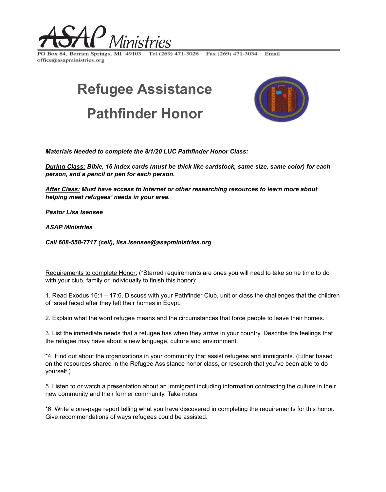

Tel (269) 471-3026 Fax (269) 471-3034 PO Box 84, Berrien Springs, MI 49103 office@asapministries.org

## **Refugee Assistance Pathfinder Honor**



Email

*Materials Needed to complete the 8/1/20 LUC Pathfinder Honor Class:*

*During Class: Bible, 16 index cards (must be thick like cardstock, same size, same color) for each person, and a pencil or pen for each person.*

*After Class: Must have access to Internet or other researching resources to learn more about helping meet refugees' needs in your area.*

*Pastor Lisa Isensee*

*ASAP Ministries*

*Call 608-558-7717 (cell), lisa.isensee@asapministries.org*

Requirements to complete Honor: (\*Starred requirements are ones you will need to take some time to do with your club, family or individually to finish this honor):

1. Read Exodus 16:1 – 17:6. Discuss with your Pathfinder Club, unit or class the challenges that the children of Israel faced after they left their homes in Egypt.

2. Explain what the word refugee means and the circumstances that force people to leave their homes.

3. List the immediate needs that a refugee has when they arrive in your country. Describe the feelings that the refugee may have about a new language, culture and environment.

\*4. Find out about the organizations in your community that assist refugees and immigrants. (Either based on the resources shared in the Refugee Assistance honor class, or research that you've been able to do yourself.)

5. Listen to or watch a presentation about an immigrant including information contrasting the culture in their new community and their former community. Take notes.

\*6. Write a one-page report telling what you have discovered in completing the requirements for this honor. Give recommendations of ways refugees could be assisted.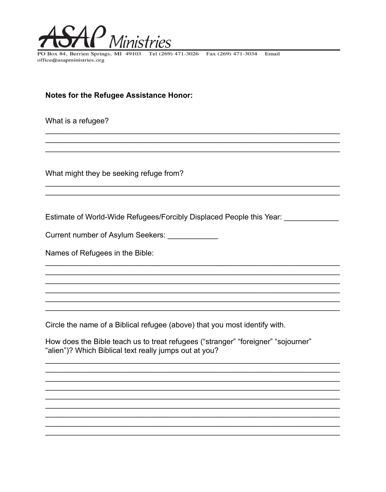

PO Box 84, Berrien Springs, MI 49103 office@asapministries.org

Tel (269) 471-3026 Fax (269) 471-3034 Email

**Notes for the Refugee Assistance Honor:** 

What is a refugee?

What might they be seeking refuge from?

Estimate of World-Wide Refugees/Forcibly Displaced People this Year: \_\_\_\_\_\_\_\_\_\_\_

Current number of Asylum Seekers: \_\_\_\_\_\_\_\_\_\_\_\_\_

Names of Refugees in the Bible:

Circle the name of a Biblical refugee (above) that you most identify with.

How does the Bible teach us to treat refugees ("stranger" "foreigner" "sojourner" "alien")? Which Biblical text really jumps out at you?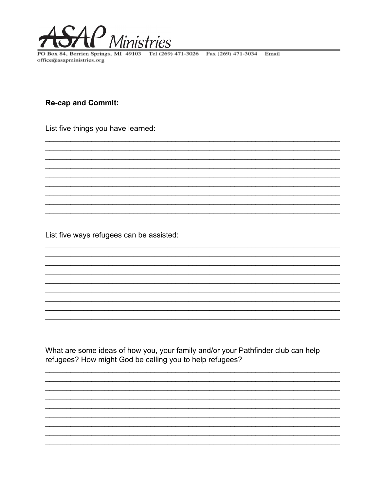

PO Box 84, Berrien Springs, MI 49103 office@asapministries.org

Tel (269) 471-3026 Fax (269) 471-3034 Email

**Re-cap and Commit:** 

List five things you have learned:

List five ways refugees can be assisted:

What are some ideas of how you, your family and/or your Pathfinder club can help refugees? How might God be calling you to help refugees?